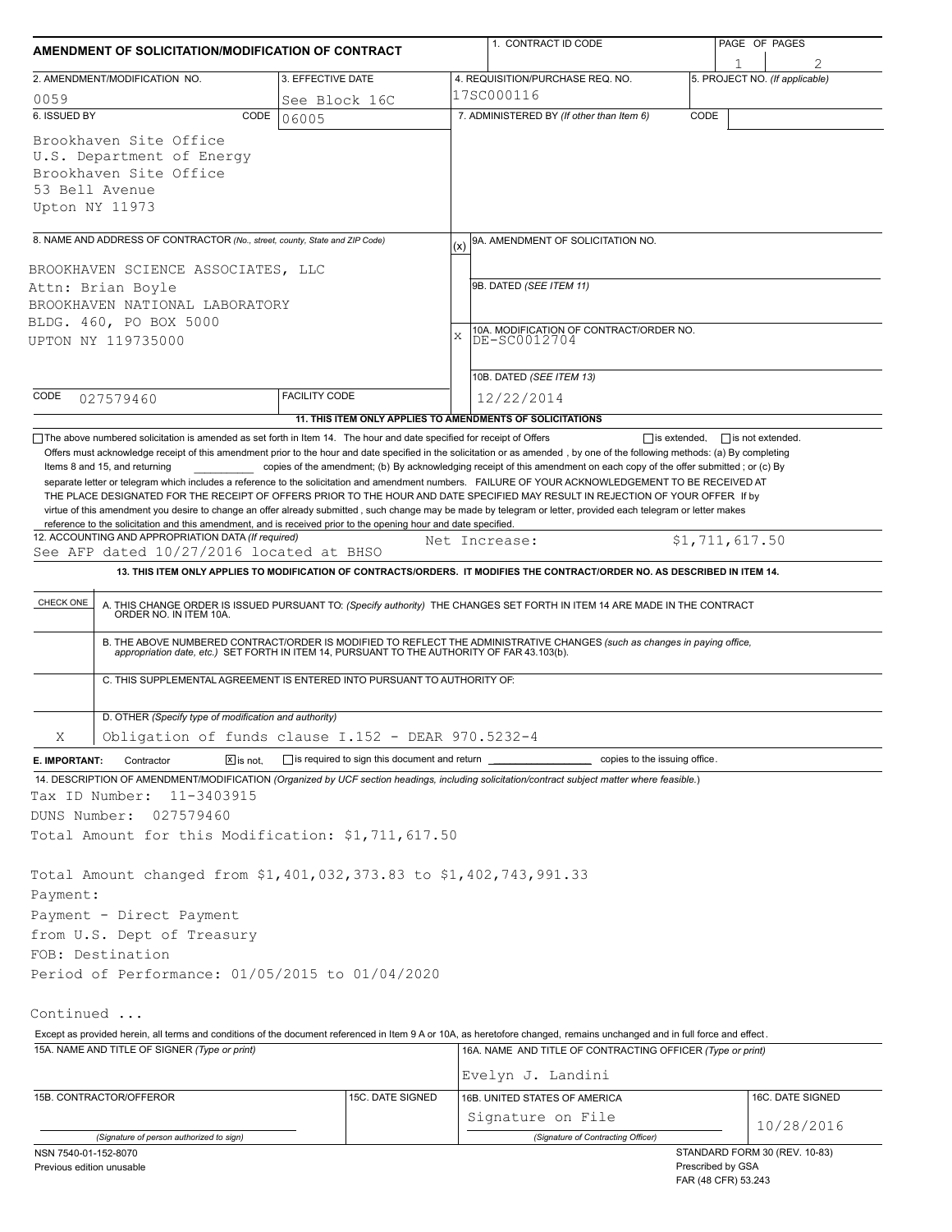| AMENDMENT OF SOLICITATION/MODIFICATION OF CONTRACT                                                                                               |                              |                      |                                                            | 1. CONTRACT ID CODE                                          |                                                                                                                                                                                                                                                                                                                                                                                                                                                                                                                                                                                                                                                                                                                                                                     |      | PAGE OF PAGES                       |                  |  |
|--------------------------------------------------------------------------------------------------------------------------------------------------|------------------------------|----------------------|------------------------------------------------------------|--------------------------------------------------------------|---------------------------------------------------------------------------------------------------------------------------------------------------------------------------------------------------------------------------------------------------------------------------------------------------------------------------------------------------------------------------------------------------------------------------------------------------------------------------------------------------------------------------------------------------------------------------------------------------------------------------------------------------------------------------------------------------------------------------------------------------------------------|------|-------------------------------------|------------------|--|
| 2. AMENDMENT/MODIFICATION NO.                                                                                                                    |                              | 3. EFFECTIVE DATE    |                                                            |                                                              | 4. REQUISITION/PURCHASE REQ. NO.                                                                                                                                                                                                                                                                                                                                                                                                                                                                                                                                                                                                                                                                                                                                    |      | 1<br>5. PROJECT NO. (If applicable) |                  |  |
| 0059                                                                                                                                             |                              | See Block 16C        |                                                            |                                                              | 17SC000116                                                                                                                                                                                                                                                                                                                                                                                                                                                                                                                                                                                                                                                                                                                                                          |      |                                     |                  |  |
| 6. ISSUED BY                                                                                                                                     | CODE                         | 06005                |                                                            |                                                              | 7. ADMINISTERED BY (If other than Item 6)                                                                                                                                                                                                                                                                                                                                                                                                                                                                                                                                                                                                                                                                                                                           | CODE |                                     |                  |  |
| Brookhaven Site Office<br>U.S. Department of Energy<br>Brookhaven Site Office<br>53 Bell Avenue<br>Upton NY 11973                                |                              |                      |                                                            |                                                              |                                                                                                                                                                                                                                                                                                                                                                                                                                                                                                                                                                                                                                                                                                                                                                     |      |                                     |                  |  |
| 8. NAME AND ADDRESS OF CONTRACTOR (No., street, county, State and ZIP Code)                                                                      |                              |                      |                                                            | (x)                                                          | 9A. AMENDMENT OF SOLICITATION NO.                                                                                                                                                                                                                                                                                                                                                                                                                                                                                                                                                                                                                                                                                                                                   |      |                                     |                  |  |
|                                                                                                                                                  |                              |                      |                                                            |                                                              |                                                                                                                                                                                                                                                                                                                                                                                                                                                                                                                                                                                                                                                                                                                                                                     |      |                                     |                  |  |
| BROOKHAVEN SCIENCE ASSOCIATES, LLC                                                                                                               |                              |                      |                                                            |                                                              | 9B. DATED (SEE ITEM 11)                                                                                                                                                                                                                                                                                                                                                                                                                                                                                                                                                                                                                                                                                                                                             |      |                                     |                  |  |
| Attn: Brian Boyle<br>BROOKHAVEN NATIONAL LABORATORY                                                                                              |                              |                      |                                                            | 10A. MODIFICATION OF CONTRACT/ORDER NO.<br>X<br>DE-SC0012704 |                                                                                                                                                                                                                                                                                                                                                                                                                                                                                                                                                                                                                                                                                                                                                                     |      |                                     |                  |  |
|                                                                                                                                                  |                              |                      |                                                            |                                                              |                                                                                                                                                                                                                                                                                                                                                                                                                                                                                                                                                                                                                                                                                                                                                                     |      |                                     |                  |  |
|                                                                                                                                                  |                              |                      |                                                            |                                                              |                                                                                                                                                                                                                                                                                                                                                                                                                                                                                                                                                                                                                                                                                                                                                                     |      |                                     |                  |  |
|                                                                                                                                                  |                              |                      |                                                            |                                                              | 10B. DATED (SEE ITEM 13)                                                                                                                                                                                                                                                                                                                                                                                                                                                                                                                                                                                                                                                                                                                                            |      |                                     |                  |  |
| CODE<br>027579460                                                                                                                                |                              | <b>FACILITY CODE</b> |                                                            |                                                              | 12/22/2014                                                                                                                                                                                                                                                                                                                                                                                                                                                                                                                                                                                                                                                                                                                                                          |      |                                     |                  |  |
|                                                                                                                                                  |                              |                      |                                                            |                                                              | 11. THIS ITEM ONLY APPLIES TO AMENDMENTS OF SOLICITATIONS                                                                                                                                                                                                                                                                                                                                                                                                                                                                                                                                                                                                                                                                                                           |      |                                     |                  |  |
| Items 8 and 15, and returning<br>reference to the solicitation and this amendment, and is received prior to the opening hour and date specified. |                              |                      |                                                            |                                                              | Offers must acknowledge receipt of this amendment prior to the hour and date specified in the solicitation or as amended, by one of the following methods: (a) By completing<br>copies of the amendment; (b) By acknowledging receipt of this amendment on each copy of the offer submitted; or (c) By<br>separate letter or telegram which includes a reference to the solicitation and amendment numbers. FAILURE OF YOUR ACKNOWLEDGEMENT TO BE RECEIVED AT<br>THE PLACE DESIGNATED FOR THE RECEIPT OF OFFERS PRIOR TO THE HOUR AND DATE SPECIFIED MAY RESULT IN REJECTION OF YOUR OFFER If by<br>virtue of this amendment you desire to change an offer already submitted, such change may be made by telegram or letter, provided each telegram or letter makes |      |                                     |                  |  |
| 12. ACCOUNTING AND APPROPRIATION DATA (If required)<br>See AFP dated 10/27/2016 located at BHSO                                                  |                              |                      |                                                            |                                                              | Net Increase:                                                                                                                                                                                                                                                                                                                                                                                                                                                                                                                                                                                                                                                                                                                                                       |      | \$1,711,617.50                      |                  |  |
|                                                                                                                                                  |                              |                      |                                                            |                                                              | 13. THIS ITEM ONLY APPLIES TO MODIFICATION OF CONTRACTS/ORDERS. IT MODIFIES THE CONTRACT/ORDER NO. AS DESCRIBED IN ITEM 14.                                                                                                                                                                                                                                                                                                                                                                                                                                                                                                                                                                                                                                         |      |                                     |                  |  |
| CHECK ONE                                                                                                                                        |                              |                      |                                                            |                                                              | A. THIS CHANGE ORDER IS ISSUED PURSUANT TO: (Specify authority) THE CHANGES SET FORTH IN ITEM 14 ARE MADE IN THE CONTRACT ORDER NO. IN ITEM 10A.                                                                                                                                                                                                                                                                                                                                                                                                                                                                                                                                                                                                                    |      |                                     |                  |  |
|                                                                                                                                                  |                              |                      |                                                            |                                                              | B. THE ABOVE NUMBERED CONTRACT/ORDER IS MODIFIED TO REFLECT THE ADMINISTRATIVE CHANGES (such as changes in paying office, appropriation date, etc.) SET FORTH IN ITEM 14, PURSUANT TO THE AUTHORITY OF FAR 43.103(b).                                                                                                                                                                                                                                                                                                                                                                                                                                                                                                                                               |      |                                     |                  |  |
| C. THIS SUPPLEMENTAL AGREEMENT IS ENTERED INTO PURSUANT TO AUTHORITY OF:                                                                         |                              |                      |                                                            |                                                              |                                                                                                                                                                                                                                                                                                                                                                                                                                                                                                                                                                                                                                                                                                                                                                     |      |                                     |                  |  |
|                                                                                                                                                  |                              |                      |                                                            |                                                              |                                                                                                                                                                                                                                                                                                                                                                                                                                                                                                                                                                                                                                                                                                                                                                     |      |                                     |                  |  |
| D. OTHER (Specify type of modification and authority)                                                                                            |                              |                      |                                                            |                                                              |                                                                                                                                                                                                                                                                                                                                                                                                                                                                                                                                                                                                                                                                                                                                                                     |      |                                     |                  |  |
| Obligation of funds clause I.152 - DEAR 970.5232-4<br>Χ                                                                                          |                              |                      |                                                            |                                                              |                                                                                                                                                                                                                                                                                                                                                                                                                                                                                                                                                                                                                                                                                                                                                                     |      |                                     |                  |  |
| E. IMPORTANT:<br>Contractor                                                                                                                      | $\boxed{\mathsf{X}}$ is not. |                      | $\Box$ is required to sign this document and return $\Box$ |                                                              | copies to the issuing office.                                                                                                                                                                                                                                                                                                                                                                                                                                                                                                                                                                                                                                                                                                                                       |      |                                     |                  |  |
|                                                                                                                                                  |                              |                      |                                                            |                                                              | 14. DESCRIPTION OF AMENDMENT/MODIFICATION (Organized by UCF section headings, including solicitation/contract subject matter where feasible.)                                                                                                                                                                                                                                                                                                                                                                                                                                                                                                                                                                                                                       |      |                                     |                  |  |
| Tax ID Number:<br>11-3403915                                                                                                                     |                              |                      |                                                            |                                                              |                                                                                                                                                                                                                                                                                                                                                                                                                                                                                                                                                                                                                                                                                                                                                                     |      |                                     |                  |  |
| DUNS Number:<br>027579460                                                                                                                        |                              |                      |                                                            |                                                              |                                                                                                                                                                                                                                                                                                                                                                                                                                                                                                                                                                                                                                                                                                                                                                     |      |                                     |                  |  |
| Total Amount for this Modification: \$1,711,617.50                                                                                               |                              |                      |                                                            |                                                              |                                                                                                                                                                                                                                                                                                                                                                                                                                                                                                                                                                                                                                                                                                                                                                     |      |                                     |                  |  |
|                                                                                                                                                  |                              |                      |                                                            |                                                              |                                                                                                                                                                                                                                                                                                                                                                                                                                                                                                                                                                                                                                                                                                                                                                     |      |                                     |                  |  |
| Total Amount changed from \$1,401,032,373.83 to \$1,402,743,991.33                                                                               |                              |                      |                                                            |                                                              |                                                                                                                                                                                                                                                                                                                                                                                                                                                                                                                                                                                                                                                                                                                                                                     |      |                                     |                  |  |
| Payment:                                                                                                                                         |                              |                      |                                                            |                                                              |                                                                                                                                                                                                                                                                                                                                                                                                                                                                                                                                                                                                                                                                                                                                                                     |      |                                     |                  |  |
| Payment - Direct Payment                                                                                                                         |                              |                      |                                                            |                                                              |                                                                                                                                                                                                                                                                                                                                                                                                                                                                                                                                                                                                                                                                                                                                                                     |      |                                     |                  |  |
| from U.S. Dept of Treasury                                                                                                                       |                              |                      |                                                            |                                                              |                                                                                                                                                                                                                                                                                                                                                                                                                                                                                                                                                                                                                                                                                                                                                                     |      |                                     |                  |  |
| FOB: Destination                                                                                                                                 |                              |                      |                                                            |                                                              |                                                                                                                                                                                                                                                                                                                                                                                                                                                                                                                                                                                                                                                                                                                                                                     |      |                                     |                  |  |
| Period of Performance: 01/05/2015 to 01/04/2020                                                                                                  |                              |                      |                                                            |                                                              |                                                                                                                                                                                                                                                                                                                                                                                                                                                                                                                                                                                                                                                                                                                                                                     |      |                                     |                  |  |
| Continued                                                                                                                                        |                              |                      |                                                            |                                                              |                                                                                                                                                                                                                                                                                                                                                                                                                                                                                                                                                                                                                                                                                                                                                                     |      |                                     |                  |  |
|                                                                                                                                                  |                              |                      |                                                            |                                                              | Except as provided herein, all terms and conditions of the document referenced in Item 9 A or 10A, as heretofore changed, remains unchanged and in full force and effect.                                                                                                                                                                                                                                                                                                                                                                                                                                                                                                                                                                                           |      |                                     |                  |  |
| 15A. NAME AND TITLE OF SIGNER (Type or print)                                                                                                    |                              |                      |                                                            |                                                              | 16A. NAME AND TITLE OF CONTRACTING OFFICER (Type or print)                                                                                                                                                                                                                                                                                                                                                                                                                                                                                                                                                                                                                                                                                                          |      |                                     |                  |  |
|                                                                                                                                                  |                              |                      |                                                            |                                                              | Evelyn J. Landini                                                                                                                                                                                                                                                                                                                                                                                                                                                                                                                                                                                                                                                                                                                                                   |      |                                     |                  |  |
| 15B. CONTRACTOR/OFFEROR                                                                                                                          |                              |                      | 15C. DATE SIGNED                                           |                                                              | 16B. UNITED STATES OF AMERICA                                                                                                                                                                                                                                                                                                                                                                                                                                                                                                                                                                                                                                                                                                                                       |      |                                     | 16C. DATE SIGNED |  |
|                                                                                                                                                  |                              |                      |                                                            |                                                              | Signature on File                                                                                                                                                                                                                                                                                                                                                                                                                                                                                                                                                                                                                                                                                                                                                   |      |                                     |                  |  |
| (Signature of person authorized to sign)                                                                                                         |                              |                      |                                                            |                                                              | (Signature of Contracting Officer)                                                                                                                                                                                                                                                                                                                                                                                                                                                                                                                                                                                                                                                                                                                                  |      |                                     | 10/28/2016       |  |
| NSN 7540-01-152-8070                                                                                                                             |                              |                      |                                                            |                                                              |                                                                                                                                                                                                                                                                                                                                                                                                                                                                                                                                                                                                                                                                                                                                                                     |      | STANDARD FORM 30 (REV. 10-83)       |                  |  |
| Previous edition unusable                                                                                                                        |                              |                      |                                                            |                                                              |                                                                                                                                                                                                                                                                                                                                                                                                                                                                                                                                                                                                                                                                                                                                                                     |      | Prescribed by GSA                   |                  |  |